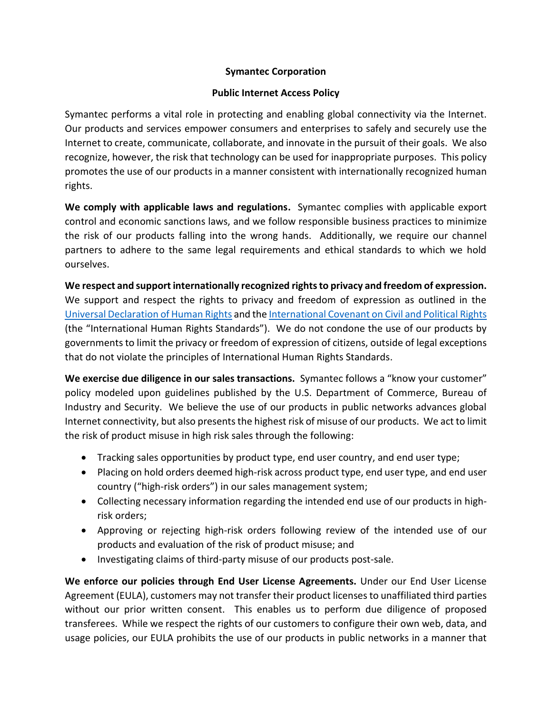## **Symantec Corporation**

## **Public Internet Access Policy**

Symantec performs a vital role in protecting and enabling global connectivity via the Internet. Our products and services empower consumers and enterprises to safely and securely use the Internet to create, communicate, collaborate, and innovate in the pursuit of their goals. We also recognize, however, the risk that technology can be used for inappropriate purposes. This policy promotes the use of our products in a manner consistent with internationally recognized human rights.

**We comply with applicable laws and regulations.** Symantec complies with applicable export control and economic sanctions laws, and we follow responsible business practices to minimize the risk of our products falling into the wrong hands. Additionally, we require our channel partners to adhere to the same legal requirements and ethical standards to which we hold ourselves.

**We respect and support internationally recognized rights to privacy and freedom of expression.** We support and respect the rights to privacy and freedom of expression as outlined in the [Universal Declaration of Human Rights](http://www.un.org/en/universal-declaration-human-rights/) and th[e International Covenant on Civil and Political](http://www.ohchr.org/EN/ProfessionalInterest/Pages/CCPR.aspx) Rights (the "International Human Rights Standards"). We do not condone the use of our products by governments to limit the privacy or freedom of expression of citizens, outside of legal exceptions that do not violate the principles of International Human Rights Standards.

**We exercise due diligence in our sales transactions.** Symantec follows a "know your customer" policy modeled upon guidelines published by the U.S. Department of Commerce, Bureau of Industry and Security. We believe the use of our products in public networks advances global Internet connectivity, but also presents the highest risk of misuse of our products. We act to limit the risk of product misuse in high risk sales through the following:

- Tracking sales opportunities by product type, end user country, and end user type;
- Placing on hold orders deemed high-risk across product type, end user type, and end user country ("high-risk orders") in our sales management system;
- Collecting necessary information regarding the intended end use of our products in highrisk orders;
- Approving or rejecting high-risk orders following review of the intended use of our products and evaluation of the risk of product misuse; and
- Investigating claims of third-party misuse of our products post-sale.

**We enforce our policies through End User License Agreements.** Under our End User License Agreement (EULA), customers may not transfer their product licensesto unaffiliated third parties without our prior written consent. This enables us to perform due diligence of proposed transferees. While we respect the rights of our customers to configure their own web, data, and usage policies, our EULA prohibits the use of our products in public networks in a manner that